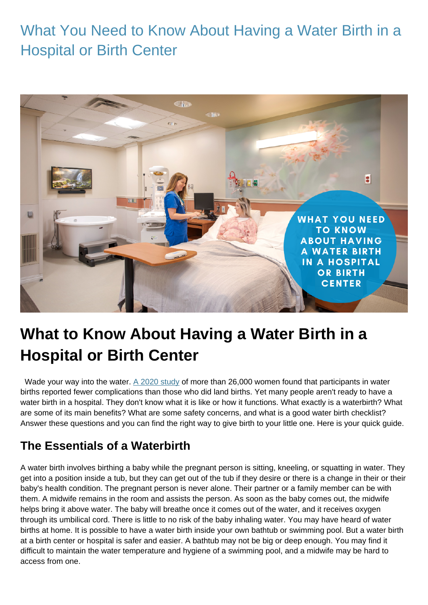## What You Need to Know About Having a Water Birth in a Hospital or Birth Center



# **What to Know About Having a Water Birth in a Hospital or Birth Center**

Wade your way into the water. [A 2020 study](https://journals.lww.com/jpnnjournal/fulltext/2020/01000/the_experience_of_land_and_water_birth_within_the.7.aspx) of more than 26,000 women found that participants in water births reported fewer complications than those who did land births. Yet many people aren't ready to have a water birth in a hospital. They don't know what it is like or how it functions. What exactly is a waterbirth? What are some of its main benefits? What are some safety concerns, and what is a good water birth checklist? Answer these questions and you can find the right way to give birth to your little one. Here is your quick guide.

#### **The Essentials of a Waterbirth**

A water birth involves birthing a baby while the pregnant person is sitting, kneeling, or squatting in water. They get into a position inside a tub, but they can get out of the tub if they desire or there is a change in their or their baby's health condition. The pregnant person is never alone. Their partner or a family member can be with them. A midwife remains in the room and assists the person. As soon as the baby comes out, the midwife helps bring it above water. The baby will breathe once it comes out of the water, and it receives oxygen through its umbilical cord. There is little to no risk of the baby inhaling water. You may have heard of water births at home. It is possible to have a water birth inside your own bathtub or swimming pool. But a water birth at a birth center or hospital is safer and easier. A bathtub may not be big or deep enough. You may find it difficult to maintain the water temperature and hygiene of a swimming pool, and a midwife may be hard to access from one.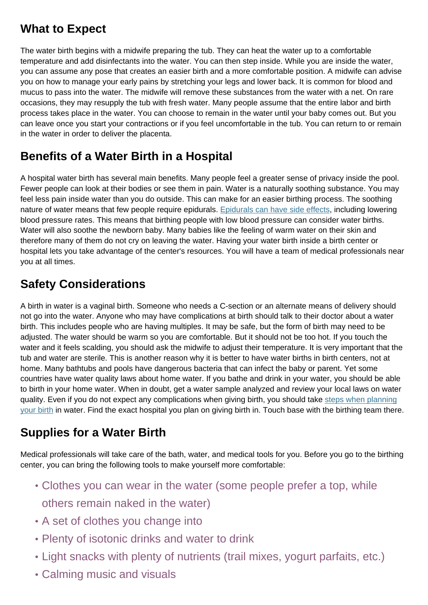### **What to Expect**

The water birth begins with a midwife preparing the tub. They can heat the water up to a comfortable temperature and add disinfectants into the water. You can then step inside. While you are inside the water, you can assume any pose that creates an easier birth and a more comfortable position. A midwife can advise you on how to manage your early pains by stretching your legs and lower back. It is common for blood and mucus to pass into the water. The midwife will remove these substances from the water with a net. On rare occasions, they may resupply the tub with fresh water. Many people assume that the entire labor and birth process takes place in the water. You can choose to remain in the water until your baby comes out. But you can leave once you start your contractions or if you feel uncomfortable in the tub. You can return to or remain in the water in order to deliver the placenta.

## **Benefits of a Water Birth in a Hospital**

A hospital water birth has several main benefits. Many people feel a greater sense of privacy inside the pool. Fewer people can look at their bodies or see them in pain. Water is a naturally soothing substance. You may feel less pain inside water than you do outside. This can make for an easier birthing process. The soothing nature of water means that few people require epidurals. [Epidurals can have side effects,](https://www.healthline.com/health/pregnancy/pain-risks-epidurals) including lowering blood pressure rates. This means that birthing people with low blood pressure can consider water births. Water will also soothe the newborn baby. Many babies like the feeling of warm water on their skin and therefore many of them do not cry on leaving the water. Having your water birth inside a birth center or hospital lets you take advantage of the center's resources. You will have a team of medical professionals near you at all times.

### **Safety Considerations**

A birth in water is a vaginal birth. Someone who needs a C-section or an alternate means of delivery should not go into the water. Anyone who may have complications at birth should talk to their doctor about a water birth. This includes people who are having multiples. It may be safe, but the form of birth may need to be adjusted. The water should be warm so you are comfortable. But it should not be too hot. If you touch the water and it feels scalding, you should ask the midwife to adjust their temperature. It is very important that the tub and water are sterile. This is another reason why it is better to have water births in birth centers, not at home. Many bathtubs and pools have dangerous bacteria that can infect the baby or parent. Yet some countries have water quality laws about home water. If you bathe and drink in your water, you should be able to birth in your home water. When in doubt, get a water sample analyzed and review your local laws on water quality. Even if you do not expect any complications when giving birth, you should take [steps when planning](https://www.edelimmersys.com/the-steps-to-take-when-planning-a-water-birth/) [your birth](https://www.edelimmersys.com/the-steps-to-take-when-planning-a-water-birth/) in water. Find the exact hospital you plan on giving birth in. Touch base with the birthing team there.

### **Supplies for a Water Birth**

Medical professionals will take care of the bath, water, and medical tools for you. Before you go to the birthing center, you can bring the following tools to make yourself more comfortable:

- Clothes you can wear in the water (some people prefer a top, while others remain naked in the water)
- A set of clothes you change into
- Plenty of isotonic drinks and water to drink
- Light snacks with plenty of nutrients (trail mixes, yogurt parfaits, etc.)
- Calming music and visuals